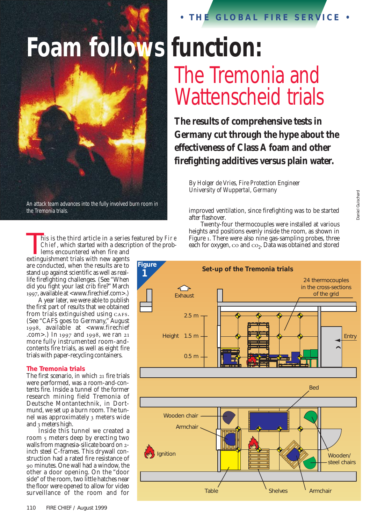# **Foam follows function:**



An attack team advances into the fully involved burn room in the Tremonia trials.

his is the third article in a series featured by Fire Chief, which started with a description of the problems encountered when fire and

extinguishment trials with new agents are conducted, when the results are to stand up against scientific as well as reallife firefighting challenges. (See "When did you fight your last crib fire?" March , available at <www.firechief.com>.)

A year later, we were able to publish the first part of results that we obtained from trials extinguished using CAFS. (See "CAFS goes to Germany," August , available at <www.firechief .com>.) In  $1997$  and  $1998$ , we ran  $21$ more fully instrumented room-andcontents fire trials, as well as eight fire trials with paper-recycling containers.

#### **The Tremonia trials**

The first scenario, in which  $21$  fire trials were performed, was a room-and-contents fire. Inside a tunnel of the former research mining field Tremonia of Deutsche Montantechnik, in Dortmund, we set up a burn room. The tunnel was approximately 3 meters wide and  $\frac{1}{3}$  meters high.

Inside this tunnel we created a room 5 meters deep by erecting two walls from magnesia-silicate board on 2inch steel C-frames. This drywall construction had a rated fire resistance of minutes. One wall had a window, the other a door opening. On the "door side" of the room, two little hatches near the floor were opened to allow for video surveillance of the room and for

# **• THE GLOBAL FIRE SERVICE •**

# The Tremonia and Wattenscheid trials

**The results of comprehensive tests in Germany cut through the hype about the effectiveness of Class A foam and other firefighting additives versus plain water.**

*By Holger de Vries, Fire Protection Engineer University of Wuppertal, Germany*

improved ventilation, since firefighting was to be started after flashover.

Twenty-four thermocouples were installed at various heights and positions evenly inside the room, as shown in Figure 1. There were also nine gas-sampling probes, three each for oxygen,  $\cos$  and  $\cos$ . Data was obtained and stored

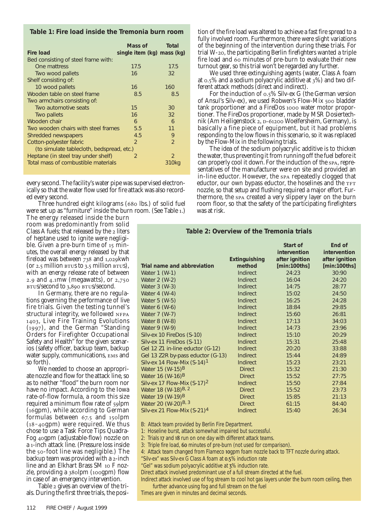**Table 1: Fire load inside the Tremonia burn room** 

| <b>Fire load</b>                          | Mass of<br>single item (kg) mass (kg) | Total         |
|-------------------------------------------|---------------------------------------|---------------|
| Bed consisting of steel frame with:       |                                       |               |
| One mattress                              | 17.5                                  | 17.5          |
| Two wood pallets                          | 16                                    | 32            |
| Shelf consisting of:                      |                                       |               |
| 10 wood pallets                           | 16                                    | 160           |
| Wooden table on steel frame               | 8.5                                   | 8.5           |
| Two armchairs consisting of:              |                                       |               |
| Two automotive seats                      | 15                                    | 30            |
| Two pallets                               | 16                                    | 32            |
| Wooden chair                              | 6                                     | 6             |
| Two wooden chairs with steel frames       | 5.5                                   | 11            |
| Shredded newspapers                       | 4.5                                   | 9             |
| Cotton-polyester fabric                   | $\mathcal{P}$                         | $\mathcal{P}$ |
| (to simulate tablecloth, bedspread, etc.) |                                       |               |
| Heptane (in steel tray under shelf)       | $\mathcal{P}$                         | 2             |
| Total mass of combustible materials       |                                       | 310kg         |
|                                           |                                       |               |

every second. The facility's water pipe was supervised electronically so that the water flow used for fire attack was also recorded every second.

Three hundred eight kilograms (680 lbs.) of solid fuel were set up as "furniture" inside the burn room. (See Table .)

The energy released inside the burn room was predominantly from solid Class A fuels; that released by the 2 liters of heptane used to ignite were negligible. Given a pre-burn time of  $15$  minutes, the overall energy released by that fireload was between  $738$  and  $1,029$ kwh (or  $2.5$  million  $B \text{ is not zero}$ ), with an energy release rate of between 2.9 and  $4.1$ mw (megawatts), or  $2,750$ BTUS/second to 3,890 BTUS/second.

In Germany, there are no regulations governing the performance of live fire trials. Given the testing tunnel's structural integrity, we followed , Live Fire Training Evolutions  $(1997)$ , and the German "Standing Orders for Firefighter Occupational Safety and Health" for the given scenarios (safety officer, backup team, backup water supply, communications, EMS and so forth).

We needed to choose an appropriate nozzle and flow for the attack line, so as to neither "flood" the burn room nor have no impact. According to the Iowa rate-of-flow formula, a room this size required a minimum flow rate of 59lpm  $(16gpm)$ , while according to German formulas between 67.5 and 150lpm  $(18 - 4$ ogpm) were required. We thus chose to use a Task Force Tips Quadra-Fog 40gpm (adjustable-flow) nozzle on a 1-inch attack line. (Pressure loss inside the 50-foot line was negligible.) The backup team was provided with a 2-inch line and an Elkhart Brass SM 10 F nozzle, providing a  $38$ olpm ( $100$ gpm) flow in case of an emergency intervention.

Table 2 gives an overview of the trials. During the first three trials, the position of the fire load was altered to achieve a fast fire spread to a fully involved room. Furthermore, there were slight variations of the beginning of the intervention during these trials. For trial W-20, the participating Berlin firefighters wanted a triple fire load and 60 minutes of pre-burn to evaluate their new turnout gear, so this trial won't be regarded any further.

We used three extinguishing agents (water, Class A foam at  $0.5\%$  and a sodium polyacrylic additive at  $3\%$ ) and two different attack methods (direct and indirect).

For the induction of  $0.5\%$  Silv-ex G (the German version of Ansul's Silv-ex), we used Robwen's Flow-Mix 500 bladder tank proportioner and a FireDos 1000 water motor proportioner. The FireDos proportioner, made by MSR Dosiertechnik (Am Heiligenstock 2, D-61200 Woelfersheim, Germany), is basically a fine piece of equipment, but it had problems responding to the low flows in this scenario, so it was replaced by the Flow-Mix in the following trials.

The idea of the sodium polyacrylic additive is to thicken the water, thus preventing it from running off the fuel before it can properly cool it down. For the induction of the spa, representatives of the manufacturer were on site and provided an in-line eductor. However, the spa repeatedly clogged that eductor, our own bypass eductor, the hoselines and the nozzle, so that setup and flushing required a major effort. Furthermore, the spa created a very slippery layer on the burn room floor, so that the safety of the participating firefighters was at risk.

## **Table 2: Overview of the Tremonia trials**

|                                   | <b>Extinguishing</b> | Start of<br>intervention<br>after ignition | End of<br><i>intervention</i><br>after ignition |
|-----------------------------------|----------------------|--------------------------------------------|-------------------------------------------------|
| Trial name and abbreviation       | method               | [min:100ths]                               | [min:100ths]                                    |
| Water 1 (W-1)                     | <b>Indirect</b>      | 24:23                                      | 30:90                                           |
| Water 2 (W-2)                     | <b>Indirect</b>      | 16:04                                      | 24:20                                           |
| Water 3 (W-3)                     | <b>Indirect</b>      | 14:75                                      | 28:77                                           |
| Water $4$ (W-4)                   | Indirect             | 15:02                                      | 24:50                                           |
| Water 5 (W-5)                     | <b>Indirect</b>      | 16:25                                      | 24:28                                           |
| Water 6 (W-6)                     | Indirect             | 18:84                                      | 29:85                                           |
| Water 7 (W-7)                     | <b>Indirect</b>      | 15:60                                      | 26:81                                           |
| Water 8 (W-8)                     | Indirect             | 17:13                                      | 34:03                                           |
| Water 9 (W-9)                     | <b>Indirect</b>      | 14:73                                      | 23:96                                           |
| Silv-ex 10 FireDos (S-10)         | <b>Indirect</b>      | 15:10                                      | 20:29                                           |
| Silv-ex 11 FireDos (S-11)         | Indirect             | 15:31                                      | 25:48                                           |
| Gel 12 Z1 in-line eductor (G-12)  | Indirect             | 20:20                                      | 33:88                                           |
| Gel 13 Z2R by-pass eductor (G-13) | <b>Indirect</b>      | 15:44                                      | 24:89                                           |
| Silv-ex 14 Flow-Mix $(S-14)^1$    | <b>Indirect</b>      | 15:23                                      | 23:21                                           |
| Water 15 $(W-15)^B$               | <b>Direct</b>        | 15:32                                      | 21:30                                           |
| Water 16 $(W-16)^B$               | <b>Direct</b>        | 15:52                                      | 27:75                                           |
| Silv-ex 17 Flow-Mix $(S-17)^2$    | <b>Indirect</b>      | 15:50                                      | 27:84                                           |
| Water 18 (W-18) <sup>B, 2</sup>   | <b>Direct</b>        | 15:52                                      | 23:73                                           |
| Water 19 (W-19) <sup>B</sup>      | <b>Direct</b>        | 15:85                                      | 21:13                                           |
| Water 20 (W-20) <sup>B, 3</sup>   | <b>Direct</b>        | 61:15                                      | 84:40                                           |
| Silv-ex 21 Flow-Mix $(S-21)^4$    | <b>Indirect</b>      | 15:40                                      | 26:34                                           |

B: Attack team provided by Berlin Fire Department.

1: Hoseline burst, attack somewhat impaired but successful.

2: Trials 17 and 18 run on one day with different attack teams.

3: Triple fire load, 60 minutes of pre-burn (not used for comparison).

4: Attack team changed from Flameco 10gpm foam nozzle back to TFT nozzle during attack.

"Silv-ex" was Silv-ex G Class A foam at 0.5% induction rate

"Gel" was sodium polyacrylic additive at 3% induction rate.

Direct attack involved predominant use of a full stream directed at the fuel.

Indirect attack involved use of fog stream to cool hot gas layers under the burn room ceiling, then further advance using fog and full stream on the fuel

Times are given in minutes and decimal seconds.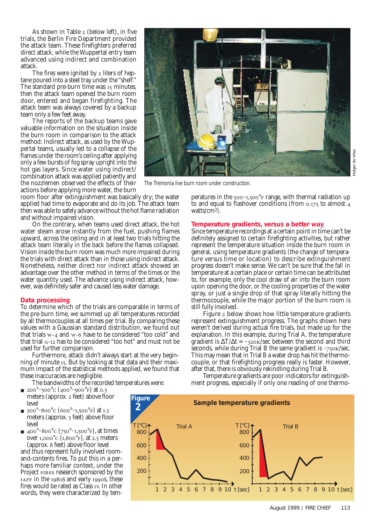As shown in Table  $2$  (below left), in five trials, the Berlin Fire Department provided the attack team. These firefighters preferred direct attack, while the Wuppertal entry team advanced using indirect and combination attack.

The fires were ignited by 2 liters of heptane poured into a steel tray under the "shelf." The standard pre-burn time was 15 minutes, then the attack team opened the burn room door, entered and began firefighting. The attack team was always covered by a backup team only a few feet away.

The reports of the backup teams gave valuable information on the situation inside the burn room in comparison to the attack method: Indirect attack, as used by the Wuppertal teams, usually led to a collapse of the flames under the room's ceiling after applying only a few bursts of fog spray upright into the hot gas layers. Since water using indirect/ combination attack was applied patiently and the nozzlemen observed the effects of their actions before applying more water, the burn

room floor after extinguishment was basically dry; the water applied had time to evaporate and do its job. The attack team then was able to safely advance without the hot flame radiation and without impaired vision.

On the contrary, when teams used direct attack, the hot water steam arose instantly from the fuel, pushing flames upward, across the ceiling and in at least two trials hitting the attack team literally in the back before the flames collapsed. Vision inside the burn room was much more impaired during the trials with direct attack than in those using indirect attack. Nonetheless, neither direct nor indirect attack showed an advantage over the other method in terms of the times or the water quantity used. The advance using indirect attack, however, was definitely safer and caused less water damage.

#### **Data processing**

To determine which of the trials are comparable in terms of the pre-burn time, we summed up all temperatures recorded by all thermocouples at all times per trial. By comparing these values with a Gaussian standard distribution, we found out that trials  $w - 4$  and  $w - 6$  have to be considered "too cold" and that trial G-12 has to be considered "too hot" and must not be used for further comparison.

Furthermore, attack didn't always start at the very beginning of minute 15. But by looking at that data and their maximum impact of the statistical methods applied, we found that these inaccuracies are negligible.

The bandwidths of the recorded temperatures were:

- $\blacksquare$  200<sup>°</sup> 500<sup>°</sup>C (400<sup>°</sup> 900<sup>°</sup>F) at 0.5 meters (approx. 2 feet) above floor level
- $300^{\circ}$ -800 $^{\circ}$ C (600 $^{\circ}$ -1,500 $^{\circ}$ F) at 1.5 meters (approx. 5 feet) above floor level
- 400°  $-800^{\circ}$ C (750°  $-1,500^{\circ}$ F), at times over  $1,000^{\circ}$ C  $(1,800^{\circ}$ F), at 2.5 meters (approx. 8 feet) above floor level and thus represent fully involved roomand-contents fires. To put this in a perhaps more familiar context, under the Project FIRES research sponsored by the

LAFF in the  $1980s$  and early 1990s, these fires would be rated as Class IV. In other words, they were characterized by tem-

peratures in the  $500^{\circ}$  range, with thermal radiation up to and equal to flashover conditions (from  $0.175$  to almost 4 watts/ $\text{cm}^2$ ).

#### **Temperature gradients, versus a better way**

Since temperature recordings at a certain point in time can't be definitely assigned to certain firefighting activities, but rather represent the temperature situation inside the burn room in general, using temperature gradients (the change of temperature versus time or location) to describe extinguishment progress doesn't make sense. We can't be sure that the fall in temperature at a certain place or certain time can be attributed to, for example, only the cool draw of air into the burn room upon opening the door, or the cooling properties of the water spray, or just a single drop of that spray literally hitting the thermocouple, while the major portion of the burn room is still fully involved.

Figure 2 below shows how little temperature gradients represent extinguishment progress. The graphs shown here weren't derived during actual fire trials, but made up for the explanation. In this example, during Trial A, the temperature gradient is  $\Delta T/\Delta t = -320 \text{K/sec}$  between the second and third seconds, while during Trial B the same gradient is  $-750 \text{k/sec}$ . This may mean that in Trial B a water drop has hit the thermocouple, or that firefighting progress really is faster. However, after that, there is obviously rekindling during Trial B.

Temperature gradients are poor indicators for extinguishment progress, especially if only one reading of one thermo-





The Tremonia live burn room under construction.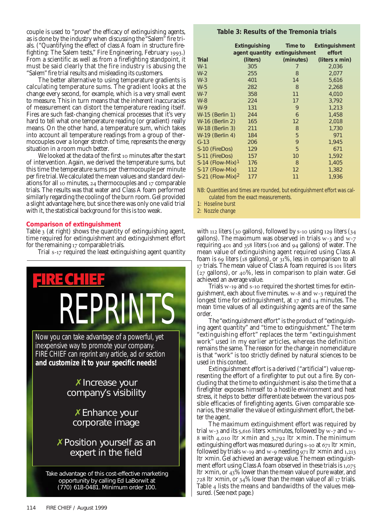couple is used to "prove" the efficacy of extinguishing agents, as is done by the industry when discussing the "Salem" fire trials. ("Quantifying the effect of class A foam in structure firefighting: The Salem tests," Fire Engineering, February 1993.) From a scientific as well as from a firefighting standpoint, it must be said clearly that the fire industry is abusing the "Salem" fire trial results and misleading its customers.

The better alternative to using temperature gradients is calculating temperature sums. The gradient looks at the change every second, for example, which is a very small event to measure. This in turn means that the inherent inaccuracies of measurement can distort the temperature reading itself. Fires are such fast-changing chemical processes that it's very hard to tell what one temperature reading (or gradient) really means. On the other hand, a temperature sum, which takes into account all temperature readings from a group of thermocouples over a longer stretch of time, represents the energy situation in a room much better.

We looked at the data of the first 10 minutes after the start of intervention. Again, we derived the temperature sums, but this time the temperature sums per thermocouple per minute per fire trial.We calculated the mean values and standard deviations for all 10 minutes, 24 thermocouples and  $17$  comparable trials. The results was that water and Class A foam performed similarly regarding the cooling of the burn room. Gel provided a slight advantage here, but since there was only one valid trial with it, the statistical background for this is too weak.

# **Comparison of extinguishment**

Table  $\overline{3}$  (at right) shows the quantity of extinguishing agent, time required for extinguishment and extinguishment effort for the remaining 17 comparable trials.

Trial s-17 required the least extinguishing agent quantity



# **Table 3: Results of the Tremonia trials**

|                                | <b>Extinguishing</b><br>agent quantity extinguishment | Time to           | <b>Extinguishment</b><br>effort |
|--------------------------------|-------------------------------------------------------|-------------------|---------------------------------|
| <b>Trial</b>                   | (liters)                                              | (minutes)         | (liters x min)                  |
| $W-1$                          | 305                                                   | 7                 | 2,036                           |
| $W-2$                          | 255                                                   | 8                 | 2,077                           |
| $W-3$                          | 401                                                   | 14                | 5,616                           |
| $W-5$                          | 282                                                   | 8                 | 2,268                           |
| $W-7$                          | 358                                                   | 11                | 4,010                           |
| $W-8$                          | 224                                                   | 17                | 3,792                           |
| $W-9$                          | 131                                                   | 9                 | 1,213                           |
| W-15 (Berlin 1)                | 244                                                   | 6                 | 1,458                           |
| <b>W-16 (Berlin 2)</b>         | 165                                                   | $12 \overline{ }$ | 2,018                           |
| <b>W-18 (Berlin 3)</b>         | 211                                                   | 8                 | 1,730                           |
| <b>W-19 (Berlin 4)</b>         | 184                                                   | 5                 | 971                             |
| $G-13$                         | 206                                                   | 9                 | 1,945                           |
| S-10 (FireDos)                 | 129                                                   | 5                 | 671                             |
| S-11 (FireDos)                 | 157                                                   | 10                | 1,592                           |
| $S-14$ (Flow-Mix) <sup>1</sup> | 176                                                   | 8                 | 1,405                           |
| S-17 (Flow-Mix)                | 112                                                   | $12 \overline{ }$ | 1,382                           |
| $S-21$ (Flow-Mix) <sup>2</sup> | 177                                                   | 11                | 1,936                           |

NB: Quantities and times are rounded, but extinguishment effort was calculated from the exact measurements.

1: Hoseline burst

2: Nozzle change

with  $112$  liters (30 gallons), followed by  $s$ -10 using  $129$  liters (34 gallons). The maximum was observed in trials  $w$ -3 and  $w$ -7 requiring  $401$  and  $358$  liters ( $106$  and  $94$  gallons) of water. The mean value of extinguishing agent required using Class A foam is  $69$  liters (18 gallons), or  $31\%$ , less in comparison to all 17 trials. The mean value of Class A foam required is 101 liters  $(z_7$  gallons), or  $40\%$ , less in comparison to plain water. Gel achieved an average value.

Trials  $w$ -19 and  $s$ -10 required the shortest times for extinguishment, each about five minutes. w-8 and w-3 required the longest time for extinguishment, at  $17$  and  $14$  minutes. The mean time values of all extinguishing agents are of the same order.

The "extinguishment effort" is the product of "extinguishing agent quantity" and "time to extinguishment." The term "extinguishing effort" replaces the term "extinguishment work" used in my earlier articles, whereas the definition remains the same. The reason for the change in nomenclature is that "work" is too strictly defined by natural sciences to be used in this context.

Extinguishment effort is a derived ("artificial") value representing the effort of a firefighter to put out a fire. By concluding that the time to extinguishment is also the time that a firefighter exposes himself to a hostile environment and heat stress, it helps to better differentiate between the various possible efficacies of firefighting agents. Given comparable scenarios, the smaller the value of extinguishment effort, the better the agent.

The maximum extinguishment effort was required by trial  $w$ -3 and its 5,616 liters  $\times$  minutes, followed by  $w$ -7 and  $w$ -8 with 4,010 ltr  $\times$  min and 3,792 ltr  $\times$  min. The minimum extinguishing effort was measured during  $s$ -10 at  $671$  ltr  $\times$  min, followed by trials  $w$ -19 and  $w$ -9 needing 971 ltr  $\times$  min and 1,213  $\text{I} \text{tr} \times \text{min}$ . Gel achieved an average value. The mean extinguishment effort using Class A foam observed in these trials is 1,075 Itr  $\times$  min, or 43% lower than the mean value of pure water, and 728 ltr  $\times$  min, or 34% lower than the mean value of all 17 trials. Table 4 lists the means and bandwidths of the values measured. (See next page.)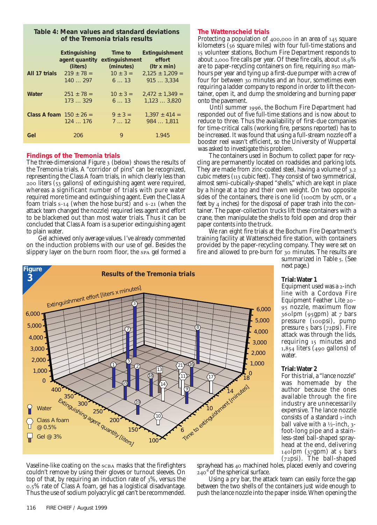# **Table 4: Mean values and standard deviations of the Tremonia trials results**

|               | <b>Extinguishing</b><br>agent quantity | Time to<br>extinguishment | <b>Extinguishment</b><br>effort    |
|---------------|----------------------------------------|---------------------------|------------------------------------|
| All 17 trials | (liters)<br>$219 \pm 78 =$             | (minutes)<br>$10 \pm 3 =$ | (ltr x min)<br>$2.125 \pm 1.209 =$ |
|               | 140297                                 | 613                       | 9153,334                           |
| Water         | $251 \pm 78 =$                         | $10 \pm 3 =$              | $2,472 \pm 1,349 =$                |
|               | 173329                                 | 613                       | 1,1233,820                         |
|               | Class A foam $150 \pm 26 =$            | $9 \pm 3 =$               | $1.397 \pm 414 =$                  |
|               | 124176                                 | $7 \ldots 12$             | 984  1,811                         |
| Gel           | 206                                    | 9                         | 1.945                              |

# **Findings of the Tremonia trials**

The three-dimensional Figure 3 (below) shows the results of the Tremonia trials. A "corridor of pins" can be recognized, representing the Class A foam trials, in which clearly less than 200 liters (53 gallons) of extinguishing agent were required, whereas a significant number of trials with pure water required more time and extinguishing agent. Even the Class A foam trials  $s-14$  (when the hose burst) and  $s-21$  (when the attack team changed the nozzle) required less agent and effort to be blackened out than most water trials. Thus it can be concluded that Class A foam is a superior extinguishing agent to plain water.

Gel achieved only average values. I've already commented on the induction problems with our use of gel. Besides the slippery layer on the burn room floor, the spa gel formed a

# **The Wattenscheid trials**

Protecting a population of  $400,000$  in an area of  $145$  square kilometers (56 square miles) with four full-time stations and 15 volunteer stations, Bochum Fire Department responds to about  $2,000$  fire calls per year. Of these fire calls, about  $18.9\%$ are to paper-recycling containers on fire, requiring 850 manhours per year and tying up a first-due pumper with a crew of four for between 30 minutes and an hour, sometimes even requiring a ladder company to respond in order to lift the container, open it, and dump the smoldering and burning paper onto the pavement.

Until summer 1996, the Bochum Fire Department had responded out of five full-time stations and is now about to reduce to three. Thus the availability of first-due companies for time-critical calls (working fire, persons reported) has to be increased. It was found that using a full-stream nozzle off a booster reel wasn't efficient, so the University of Wuppertal was asked to investigate this problem.

The containers used in Bochum to collect paper for recycling are permanently located on roadsides and parking lots. They are made from zinc-coated steel, having a volume of 3.2 cubic meters  $(113 \text{ cubic feet})$ . They consist of two symmetrical, almost semi-cubically-shaped "shells," which are kept in place by a hinge at a top and their own weight. On two opposite sides of the containers, there is one lid (100 $cm$  by 9 $cm$ , or 4 feet by  $4$  inches) for the disposal of paper trash into the container. The paper-collection trucks lift these containers with a crane, then manipulate the shells to fold open and drop their paper contents into the truck.

We ran eight fire trials at the Bochum Fire Department's training facility at Wattenscheid fire station, with containers provided by the paper-recycling company. They were set on fire and allowed to pre-burn for 30 minutes. The results are

summarized in Table 5. (See next page.)

# **Trial:Water 1**

Equipment used was a 2-inch line with a Cordova Fire Equipment Feather Lite 20 nozzle, maximum flow  $36$ olpm ( $95$ gpm) at  $7$  bars pressure (100psi), pump pressure  $\frac{1}{2}$  bars  $\frac{1}{2}$  ( $\frac{1}{2}$  psi). Fire attack was through the lids, requiring 15 minutes and  $1,854$  liters (490 gallons) of water.

# **Trial:Water 2**

For this trial, a "lance nozzle" was homemade by the author because the ones available through the fire industry are unnecessarily expensive. The lance nozzle consists of a standard 1-inch ball valve with a  $\frac{1}{2}$ -inch, 3foot-long pipe and a stainless-steel ball-shaped sprayhead at the end, delivering  $_{14}$ olpm ( $_{37}$ gpm) at 5 bars  $(72 \text{psi}).$  The ball-shaped

Vaseline-like coating on the scBA masks that the firefighters couldn't remove by using their gloves or turnout sleeves. On top of that, by requiring an induction rate of  $3\%$ , versus the .% rate of Class A foam, gel has a logistical disadvantage. Thus the use of sodium polyacrylic gel can't be recommended.

sprayhead has 40 machined holes, placed evenly and covering  $240^\circ$  of the spherical surface.

Using a pry bar, the attack team can easily force the gap between the two shells of the containers just wide enough to push the lance nozzle into the paper inside. When opening the